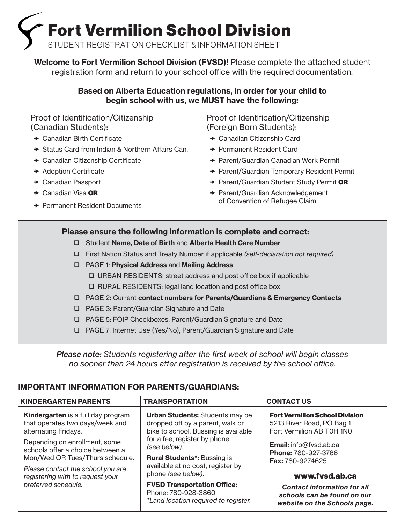Fort Vermilion School Division

STUDENT REGISTRATION CHECKLIST & INFORMATION SHEET

Welcome to Fort Vermilion School Division (FVSD)! Please complete the attached student registration form and return to your school office with the required documentation.

# Based on Alberta Education regulations, in order for your child to begin school with us, we MUST have the following:

Proof of Identification/Citizenship (Canadian Students):

- $\rightarrow$  Canadian Birth Certificate
- $\rightarrow$  Status Card from Indian & Northern Affairs Can.
- $\rightarrow$  Canadian Citizenship Certificate
- **\*** Adoption Certificate
- ◆ Canadian Passport
- $\rightarrow$  Canadian Visa OR
- **→ Permanent Resident Documents**

Proof of Identification/Citizenship (Foreign Born Students):

- ◆ Canadian Citizenship Card
- **★ Permanent Resident Card**
- ◆ Parent/Guardian Canadian Work Permit
- ◆ Parent/Guardian Temporary Resident Permit
- ◆ Parent/Guardian Student Study Permit OR
- **→ Parent/Guardian Acknowledgement** of Convention of Refugee Claim

# Please ensure the following information is complete and correct:

- □ Student Name, Date of Birth and Alberta Health Care Number
- First Nation Status and Treaty Number if applicable *(self-declaration not required)*
- □ PAGE 1: Physical Address and Mailing Address URBAN RESIDENTS: street address and post office box if applicable
	- □ RURAL RESIDENTS: legal land location and post office box
- PAGE 2: Current contact numbers for Parents/Guardians & Emergency Contacts
- □ PAGE 3: Parent/Guardian Signature and Date
- PAGE 5: FOIP Checkboxes, Parent/Guardian Signature and Date
- PAGE 7: Internet Use (Yes/No), Parent/Guardian Signature and Date

*Please note: Students registering after the first week of school will begin classes no sooner than 24 hours after registration is received by the school office.* 

# IMPORTANT INFORMATION FOR PARENTS/GUARDIANS:

| <b>KINDERGARTEN PARENTS</b>                                                                                                                                                   | <b>TRANSPORTATION</b>                                                                                                                         | <b>CONTACT US</b>                                                                                        |
|-------------------------------------------------------------------------------------------------------------------------------------------------------------------------------|-----------------------------------------------------------------------------------------------------------------------------------------------|----------------------------------------------------------------------------------------------------------|
| <b>Kindergarten</b> is a full day program<br>that operates two days/week and<br>alternating Fridays.                                                                          | <b>Urban Students: Students may be</b><br>dropped off by a parent, walk or<br>bike to school. Bussing is available                            | <b>Fort Vermilion School Division</b><br>5213 River Road, PO Bag 1<br>Fort Vermilion AB T0H 1N0          |
| Depending on enrollment, some<br>schools offer a choice between a<br>Mon/Wed OR Tues/Thurs schedule.<br>Please contact the school you are<br>registering with to request your | for a fee, register by phone<br>(see below).<br><b>Rural Students*: Bussing is</b><br>available at no cost, register by<br>phone (see below). | <b>Email:</b> info@fvsd.ab.ca<br><b>Phone: 780-927-3766</b><br><b>Fax: 780-9274625</b><br>www.fvsd.ab.ca |
| preferred schedule.                                                                                                                                                           | <b>FVSD Transportation Office:</b><br>Phone: 780-928-3860<br>*Land location required to register.                                             | <b>Contact information for all</b><br>schools can be found on our<br>website on the Schools page.        |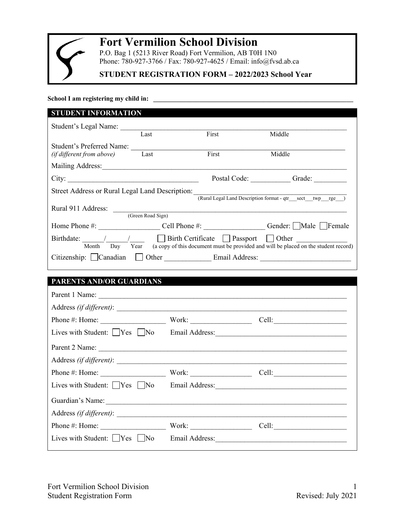

# **Fort Vermilion School Division**

P.O. Bag 1 (5213 River Road) Fort Vermilion, AB T0H 1N0 Phone: 780-927-3766 / Fax: 780-927-4625 / Email: info@fvsd.ab.ca

# **STUDENT REGISTRATION FORM – 2022/2023 School Year**

School I am registering my child in:

| <b>STUDENT INFORMATION</b>                      |                           |                                                                                                                        |
|-------------------------------------------------|---------------------------|------------------------------------------------------------------------------------------------------------------------|
|                                                 |                           |                                                                                                                        |
|                                                 |                           | Middle                                                                                                                 |
|                                                 |                           |                                                                                                                        |
| Last                                            | First                     | Middle                                                                                                                 |
|                                                 |                           |                                                                                                                        |
| City:                                           |                           | Postal Code:<br>Grade:                                                                                                 |
| Street Address or Rural Legal Land Description: |                           | (Rural Legal Land Description format - qtr sect twp rge                                                                |
|                                                 |                           |                                                                                                                        |
|                                                 |                           |                                                                                                                        |
|                                                 |                           | Home Phone #: Cell Phone #: Gender: Male Female                                                                        |
| Day Year                                        |                           | $\Box$ Passport $\Box$<br>Other<br>(a copy of this document must be provided and will be placed on the student record) |
|                                                 |                           |                                                                                                                        |
|                                                 | Last<br>(Green Road Sign) | First<br>Birthdate: / /   Birth Certificate<br>Email Address:<br>Other <u>the contract of</u>                          |

# **PARENTS AND/OR GUARDIANS**

| Lives with Student: Ves No Email Address:                                                                      |                |                       |
|----------------------------------------------------------------------------------------------------------------|----------------|-----------------------|
| Parent 2 Name:                                                                                                 |                |                       |
|                                                                                                                |                |                       |
|                                                                                                                |                |                       |
| Lives with Student: $\bigcap$ Yes $\bigcap$ No                                                                 |                |                       |
| Guardian's Name: 1988 and 1988 and 1988 and 1988 and 1988 and 1988 and 1988 and 1988 and 1988 and 1988 and 198 |                |                       |
|                                                                                                                |                |                       |
| Phone #: Home:                                                                                                 | Work:          | Cell: $\qquad \qquad$ |
| Lives with Student: $ $   $Yes$     No                                                                         | Email Address: |                       |
|                                                                                                                |                |                       |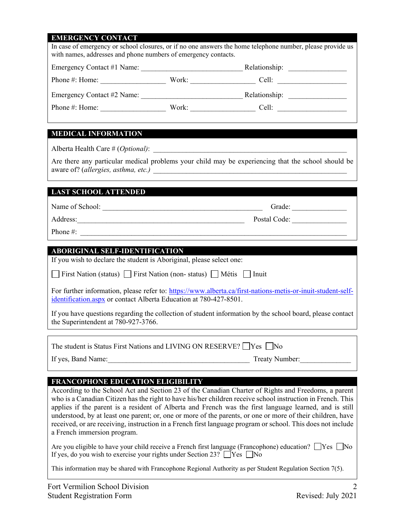# **EMERGENCY CONTACT**

| <b>MEDICAL INFORMATION</b><br>Are there any particular medical problems your child may be experiencing that the school should be<br><b>LAST SCHOOL ATTENDED</b><br>Address: 2008 and 2008 and 2008 and 2008 and 2008 and 2008 and 2008 and 2008 and 2008 and 2008 and 2008 and 20<br><b>ABORIGINAL SELF-IDENTIFICATION</b><br>If you wish to declare the student is Aboriginal, please select one:<br>First Nation (status) First Nation (non-status) Métis Inuit<br>For further information, please refer to: https://www.alberta.ca/first-nations-metis-or-inuit-student-self-<br>identification.aspx or contact Alberta Education at 780-427-8501.<br>If you have questions regarding the collection of student information by the school board, please contact<br>the Superintendent at 780-927-3766.<br>The student is Status First Nations and LIVING ON RESERVE? $\Box$ Yes $\Box$ No<br>Treaty Number:<br><b>FRANCOPHONE EDUCATION ELIGIBILITY</b> | According to the School Act and Section 23 of the Canadian Charter of Rights and Freedoms, a parent<br>who is a Canadian Citizen has the right to have his/her children receive school instruction in French. This<br>applies if the parent is a resident of Alberta and French was the first language learned, and is still<br>understood, by at least one parent; or, one or more of the parents, or one or more of their children, have<br>received, or are receiving, instruction in a French first language program or school. This does not include<br>a French immersion program.<br>Are you eligible to have your child receive a French first language (Francophone) education? $\Box$ Yes $\Box$ No<br>If yes, do you wish to exercise your rights under Section 23? $\Box$ Yes $\Box$ No | <b><i>PRIPRIPRIPRIPALE</i></b><br><b>CONTINU</b><br>with names, addresses and phone numbers of emergency contacts. |  | In case of emergency or school closures, or if no one answers the home telephone number, please provide us |
|------------------------------------------------------------------------------------------------------------------------------------------------------------------------------------------------------------------------------------------------------------------------------------------------------------------------------------------------------------------------------------------------------------------------------------------------------------------------------------------------------------------------------------------------------------------------------------------------------------------------------------------------------------------------------------------------------------------------------------------------------------------------------------------------------------------------------------------------------------------------------------------------------------------------------------------------------------|-----------------------------------------------------------------------------------------------------------------------------------------------------------------------------------------------------------------------------------------------------------------------------------------------------------------------------------------------------------------------------------------------------------------------------------------------------------------------------------------------------------------------------------------------------------------------------------------------------------------------------------------------------------------------------------------------------------------------------------------------------------------------------------------------------|--------------------------------------------------------------------------------------------------------------------|--|------------------------------------------------------------------------------------------------------------|
|                                                                                                                                                                                                                                                                                                                                                                                                                                                                                                                                                                                                                                                                                                                                                                                                                                                                                                                                                            |                                                                                                                                                                                                                                                                                                                                                                                                                                                                                                                                                                                                                                                                                                                                                                                                     |                                                                                                                    |  |                                                                                                            |
|                                                                                                                                                                                                                                                                                                                                                                                                                                                                                                                                                                                                                                                                                                                                                                                                                                                                                                                                                            |                                                                                                                                                                                                                                                                                                                                                                                                                                                                                                                                                                                                                                                                                                                                                                                                     |                                                                                                                    |  |                                                                                                            |
|                                                                                                                                                                                                                                                                                                                                                                                                                                                                                                                                                                                                                                                                                                                                                                                                                                                                                                                                                            |                                                                                                                                                                                                                                                                                                                                                                                                                                                                                                                                                                                                                                                                                                                                                                                                     |                                                                                                                    |  |                                                                                                            |
|                                                                                                                                                                                                                                                                                                                                                                                                                                                                                                                                                                                                                                                                                                                                                                                                                                                                                                                                                            |                                                                                                                                                                                                                                                                                                                                                                                                                                                                                                                                                                                                                                                                                                                                                                                                     |                                                                                                                    |  |                                                                                                            |
|                                                                                                                                                                                                                                                                                                                                                                                                                                                                                                                                                                                                                                                                                                                                                                                                                                                                                                                                                            |                                                                                                                                                                                                                                                                                                                                                                                                                                                                                                                                                                                                                                                                                                                                                                                                     |                                                                                                                    |  |                                                                                                            |
|                                                                                                                                                                                                                                                                                                                                                                                                                                                                                                                                                                                                                                                                                                                                                                                                                                                                                                                                                            |                                                                                                                                                                                                                                                                                                                                                                                                                                                                                                                                                                                                                                                                                                                                                                                                     |                                                                                                                    |  |                                                                                                            |
|                                                                                                                                                                                                                                                                                                                                                                                                                                                                                                                                                                                                                                                                                                                                                                                                                                                                                                                                                            |                                                                                                                                                                                                                                                                                                                                                                                                                                                                                                                                                                                                                                                                                                                                                                                                     |                                                                                                                    |  |                                                                                                            |
|                                                                                                                                                                                                                                                                                                                                                                                                                                                                                                                                                                                                                                                                                                                                                                                                                                                                                                                                                            |                                                                                                                                                                                                                                                                                                                                                                                                                                                                                                                                                                                                                                                                                                                                                                                                     |                                                                                                                    |  |                                                                                                            |
|                                                                                                                                                                                                                                                                                                                                                                                                                                                                                                                                                                                                                                                                                                                                                                                                                                                                                                                                                            |                                                                                                                                                                                                                                                                                                                                                                                                                                                                                                                                                                                                                                                                                                                                                                                                     |                                                                                                                    |  |                                                                                                            |
|                                                                                                                                                                                                                                                                                                                                                                                                                                                                                                                                                                                                                                                                                                                                                                                                                                                                                                                                                            |                                                                                                                                                                                                                                                                                                                                                                                                                                                                                                                                                                                                                                                                                                                                                                                                     |                                                                                                                    |  |                                                                                                            |
|                                                                                                                                                                                                                                                                                                                                                                                                                                                                                                                                                                                                                                                                                                                                                                                                                                                                                                                                                            |                                                                                                                                                                                                                                                                                                                                                                                                                                                                                                                                                                                                                                                                                                                                                                                                     |                                                                                                                    |  |                                                                                                            |
|                                                                                                                                                                                                                                                                                                                                                                                                                                                                                                                                                                                                                                                                                                                                                                                                                                                                                                                                                            |                                                                                                                                                                                                                                                                                                                                                                                                                                                                                                                                                                                                                                                                                                                                                                                                     |                                                                                                                    |  |                                                                                                            |
|                                                                                                                                                                                                                                                                                                                                                                                                                                                                                                                                                                                                                                                                                                                                                                                                                                                                                                                                                            |                                                                                                                                                                                                                                                                                                                                                                                                                                                                                                                                                                                                                                                                                                                                                                                                     |                                                                                                                    |  |                                                                                                            |
|                                                                                                                                                                                                                                                                                                                                                                                                                                                                                                                                                                                                                                                                                                                                                                                                                                                                                                                                                            |                                                                                                                                                                                                                                                                                                                                                                                                                                                                                                                                                                                                                                                                                                                                                                                                     |                                                                                                                    |  |                                                                                                            |
|                                                                                                                                                                                                                                                                                                                                                                                                                                                                                                                                                                                                                                                                                                                                                                                                                                                                                                                                                            |                                                                                                                                                                                                                                                                                                                                                                                                                                                                                                                                                                                                                                                                                                                                                                                                     |                                                                                                                    |  |                                                                                                            |
|                                                                                                                                                                                                                                                                                                                                                                                                                                                                                                                                                                                                                                                                                                                                                                                                                                                                                                                                                            |                                                                                                                                                                                                                                                                                                                                                                                                                                                                                                                                                                                                                                                                                                                                                                                                     |                                                                                                                    |  |                                                                                                            |
|                                                                                                                                                                                                                                                                                                                                                                                                                                                                                                                                                                                                                                                                                                                                                                                                                                                                                                                                                            |                                                                                                                                                                                                                                                                                                                                                                                                                                                                                                                                                                                                                                                                                                                                                                                                     |                                                                                                                    |  |                                                                                                            |
|                                                                                                                                                                                                                                                                                                                                                                                                                                                                                                                                                                                                                                                                                                                                                                                                                                                                                                                                                            | This information may be shared with Francophone Regional Authority as per Student Regulation Section 7(5).                                                                                                                                                                                                                                                                                                                                                                                                                                                                                                                                                                                                                                                                                          |                                                                                                                    |  |                                                                                                            |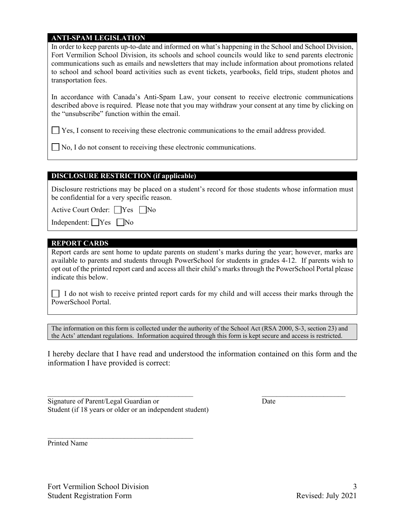#### **ANTI-SPAM LEGISLATION**

In order to keep parents up-to-date and informed on what's happening in the School and School Division, Fort Vermilion School Division, its schools and school councils would like to send parents electronic communications such as emails and newsletters that may include information about promotions related to school and school board activities such as event tickets, yearbooks, field trips, student photos and transportation fees.

In accordance with Canada's Anti-Spam Law, your consent to receive electronic communications described above is required. Please note that you may withdraw your consent at any time by clicking on the "unsubscribe" function within the email.

Yes, I consent to receiving these electronic communications to the email address provided.

No, I do not consent to receiving these electronic communications.

#### **DISCLOSURE RESTRICTION (if applicable)**

Disclosure restrictions may be placed on a student's record for those students whose information must be confidential for a very specific reason.

Active Court Order:  $\Box$  Yes  $\Box$  No

Independent:  $\bigcap$  Yes  $\bigcap$  No

#### **REPORT CARDS**

Report cards are sent home to update parents on student's marks during the year; however, marks are available to parents and students through PowerSchool for students in grades 4-12. If parents wish to opt out of the printed report card and access all their child's marks through the PowerSchool Portal please indicate this below.

I do not wish to receive printed report cards for my child and will access their marks through the PowerSchool Portal.

The information on this form is collected under the authority of the School Act (RSA 2000, S-3, section 23) and the Acts' attendant regulations. Information acquired through this form is kept secure and access is restricted.

I hereby declare that I have read and understood the information contained on this form and the information I have provided is correct:

\_\_\_\_\_\_\_\_\_\_\_\_\_\_\_\_\_\_\_\_\_\_\_\_\_\_\_\_\_\_\_\_\_\_\_\_\_\_\_\_ \_\_\_\_\_\_\_\_\_\_\_\_\_\_\_\_\_\_\_\_\_\_\_

Signature of Parent/Legal Guardian or Date Student (if 18 years or older or an independent student)

 $\mathcal{L}_\text{max}$  and  $\mathcal{L}_\text{max}$  and  $\mathcal{L}_\text{max}$  and  $\mathcal{L}_\text{max}$ 

Printed Name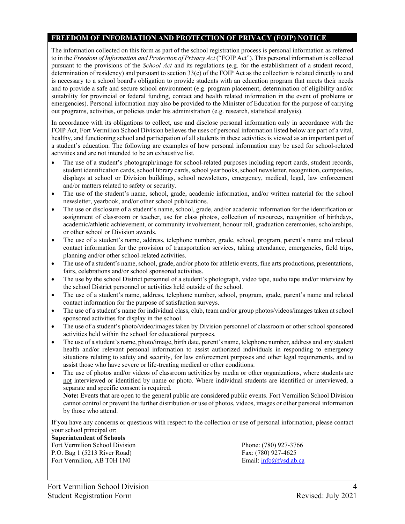### **FREEDOM OF INFORMATION AND PROTECTION OF PRIVACY (FOIP) NOTICE**

The information collected on this form as part of the school registration process is personal information as referred to in the *Freedom of Information and Protection of Privacy Act* ("FOIP Act"). This personal information is collected pursuant to the provisions of the *School Act* and its regulations (e.g. for the establishment of a student record, determination of residency) and pursuant to section 33(c) of the FOIP Act as the collection is related directly to and is necessary to a school board's obligation to provide students with an education program that meets their needs and to provide a safe and secure school environment (e.g. program placement, determination of eligibility and/or suitability for provincial or federal funding, contact and health related information in the event of problems or emergencies). Personal information may also be provided to the Minister of Education for the purpose of carrying out programs, activities, or policies under his administration (e.g. research, statistical analysis).

In accordance with its obligations to collect, use and disclose personal information only in accordance with the FOIP Act, Fort Vermilion School Division believes the uses of personal information listed below are part of a vital, healthy, and functioning school and participation of all students in these activities is viewed as an important part of a student's education. The following are examples of how personal information may be used for school-related activities and are not intended to be an exhaustive list.

- The use of a student's photograph/image for school-related purposes including report cards, student records, student identification cards, school library cards, school yearbooks, school newsletter, recognition, composites, displays at school or Division buildings, school newsletters, emergency, medical, legal, law enforcement and/or matters related to safety or security.
- The use of the student's name, school, grade, academic information, and/or written material for the school newsletter, yearbook, and/or other school publications.
- The use or disclosure of a student's name, school, grade, and/or academic information for the identification or assignment of classroom or teacher, use for class photos, collection of resources, recognition of birthdays, academic/athletic achievement, or community involvement, honour roll, graduation ceremonies, scholarships, or other school or Division awards.
- The use of a student's name, address, telephone number, grade, school, program, parent's name and related contact information for the provision of transportation services, taking attendance, emergencies, field trips, planning and/or other school-related activities.
- The use of a student's name, school, grade, and/or photo for athletic events, fine arts productions, presentations, fairs, celebrations and/or school sponsored activities.
- The use by the school District personnel of a student's photograph, video tape, audio tape and/or interview by the school District personnel or activities held outside of the school.
- The use of a student's name, address, telephone number, school, program, grade, parent's name and related contact information for the purpose of satisfaction surveys.
- The use of a student's name for individual class, club, team and/or group photos/videos/images taken at school sponsored activities for display in the school.
- The use of a student's photo/video/images taken by Division personnel of classroom or other school sponsored activities held within the school for educational purposes.
- The use of a student's name, photo/image, birth date, parent's name, telephone number, address and any student health and/or relevant personal information to assist authorized individuals in responding to emergency situations relating to safety and security, for law enforcement purposes and other legal requirements, and to assist those who have severe or life-treating medical or other conditions.
- The use of photos and/or videos of classroom activities by media or other organizations, where students are not interviewed or identified by name or photo. Where individual students are identified or interviewed, a separate and specific consent is required.

**Note:** Events that are open to the general public are considered public events. Fort Vermilion School Division cannot control or prevent the further distribution or use of photos, videos, images or other personal information by those who attend.

If you have any concerns or questions with respect to the collection or use of personal information, please contact your school principal or:

#### **Superintendent of Schools**

Fort Vermilion School Division Phone: (780) 927-3766 P.O. Bag 1 (5213 River Road) Fax: (780) 927-4625<br>Fort Vermilion, AB T0H 1N0 Fax: (780) 927-4625 Fort Vermilion, AB T0H 1N0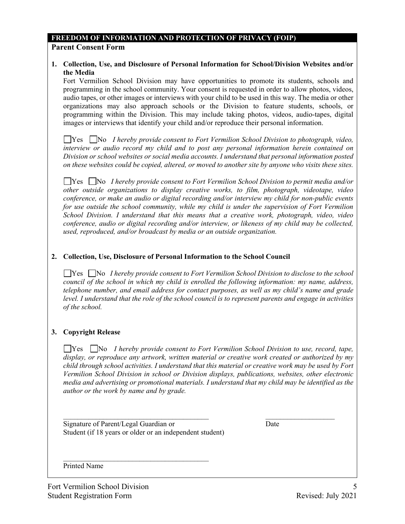#### **FREEDOM OF INFORMATION AND PROTECTION OF PRIVACY (FOIP) Parent Consent Form**

#### **1. Collection, Use, and Disclosure of Personal Information for School/Division Websites and/or the Media**

Fort Vermilion School Division may have opportunities to promote its students, schools and programming in the school community. Your consent is requested in order to allow photos, videos, audio tapes, or other images or interviews with your child to be used in this way. The media or other organizations may also approach schools or the Division to feature students, schools, or programming within the Division. This may include taking photos, videos, audio-tapes, digital images or interviews that identify your child and/or reproduce their personal information.

Yes No *I hereby provide consent to Fort Vermilion School Division to photograph, video, interview or audio record my child and to post any personal information herein contained on Division or school websites or social media accounts. I understand that personal information posted on these websites could be copied, altered, or moved to another site by anyone who visits these sites.*

Yes No *I hereby provide consent to Fort Vermilion School Division to permit media and/or other outside organizations to display creative works, to film, photograph, videotape, video conference, or make an audio or digital recording and/or interview my child for non-public events for use outside the school community, while my child is under the supervision of Fort Vermilion School Division. I understand that this means that a creative work, photograph, video, video conference, audio or digital recording and/or interview, or likeness of my child may be collected, used, reproduced, and/or broadcast by media or an outside organization.*

#### **2. Collection, Use, Disclosure of Personal Information to the School Council**

Yes No *I hereby provide consent to Fort Vermilion School Division to disclose to the school council of the school in which my child is enrolled the following information: my name, address, telephone number, and email address for contact purposes, as well as my child's name and grade level. I understand that the role of the school council is to represent parents and engage in activities of the school.* 

#### **3. Copyright Release**

■ Yes ■ No *I hereby provide consent to Fort Vermilion School Division to use, record, tape, display, or reproduce any artwork, written material or creative work created or authorized by my child through school activities. I understand that this material or creative work may be used by Fort Vermilion School Division in school or Division displays, publications, websites, other electronic media and advertising or promotional materials. I understand that my child may be identified as the author or the work by name and by grade.*

 $\mathcal{L}_\text{max} = \frac{1}{2} \sum_{i=1}^{n} \frac{1}{2} \sum_{i=1}^{n} \frac{1}{2} \sum_{i=1}^{n} \frac{1}{2} \sum_{i=1}^{n} \frac{1}{2} \sum_{i=1}^{n} \frac{1}{2} \sum_{i=1}^{n} \frac{1}{2} \sum_{i=1}^{n} \frac{1}{2} \sum_{i=1}^{n} \frac{1}{2} \sum_{i=1}^{n} \frac{1}{2} \sum_{i=1}^{n} \frac{1}{2} \sum_{i=1}^{n} \frac{1}{2} \sum_{i=1}^{n} \frac{1$ 

Signature of Parent/Legal Guardian or Date Student (if 18 years or older or an independent student)

 $\mathcal{L}_\text{max}$  and  $\mathcal{L}_\text{max}$  and  $\mathcal{L}_\text{max}$  and  $\mathcal{L}_\text{max}$ 

Printed Name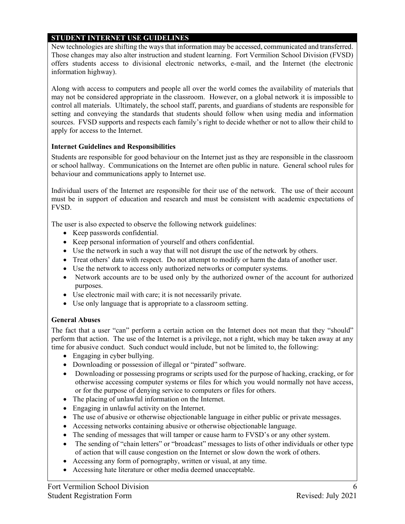# **STUDENT INTERNET USE GUIDELINES**

New technologies are shifting the ways that information may be accessed, communicated and transferred. Those changes may also alter instruction and student learning. Fort Vermilion School Division (FVSD) offers students access to divisional electronic networks, e-mail, and the Internet (the electronic information highway).

Along with access to computers and people all over the world comes the availability of materials that may not be considered appropriate in the classroom. However, on a global network it is impossible to control all materials. Ultimately, the school staff, parents, and guardians of students are responsible for setting and conveying the standards that students should follow when using media and information sources. FVSD supports and respects each family's right to decide whether or not to allow their child to apply for access to the Internet.

### **Internet Guidelines and Responsibilities**

Students are responsible for good behaviour on the Internet just as they are responsible in the classroom or school hallway. Communications on the Internet are often public in nature. General school rules for behaviour and communications apply to Internet use.

Individual users of the Internet are responsible for their use of the network. The use of their account must be in support of education and research and must be consistent with academic expectations of FVSD.

The user is also expected to observe the following network guidelines:

- Keep passwords confidential.
- Keep personal information of yourself and others confidential.
- Use the network in such a way that will not disrupt the use of the network by others.
- Treat others' data with respect. Do not attempt to modify or harm the data of another user.
- Use the network to access only authorized networks or computer systems.
- Network accounts are to be used only by the authorized owner of the account for authorized purposes.
- Use electronic mail with care; it is not necessarily private.
- Use only language that is appropriate to a classroom setting.

#### **General Abuses**

The fact that a user "can" perform a certain action on the Internet does not mean that they "should" perform that action. The use of the Internet is a privilege, not a right, which may be taken away at any time for abusive conduct. Such conduct would include, but not be limited to, the following:

- Engaging in cyber bullying.
- Downloading or possession of illegal or "pirated" software.
- Downloading or possessing programs or scripts used for the purpose of hacking, cracking, or for otherwise accessing computer systems or files for which you would normally not have access, or for the purpose of denying service to computers or files for others.
- The placing of unlawful information on the Internet.
- Engaging in unlawful activity on the Internet.
- The use of abusive or otherwise objectionable language in either public or private messages.
- Accessing networks containing abusive or otherwise objectionable language.
- The sending of messages that will tamper or cause harm to FVSD's or any other system.
- The sending of "chain letters" or "broadcast" messages to lists of other individuals or other type of action that will cause congestion on the Internet or slow down the work of others.
- Accessing any form of pornography, written or visual, at any time.
- Accessing hate literature or other media deemed unacceptable.